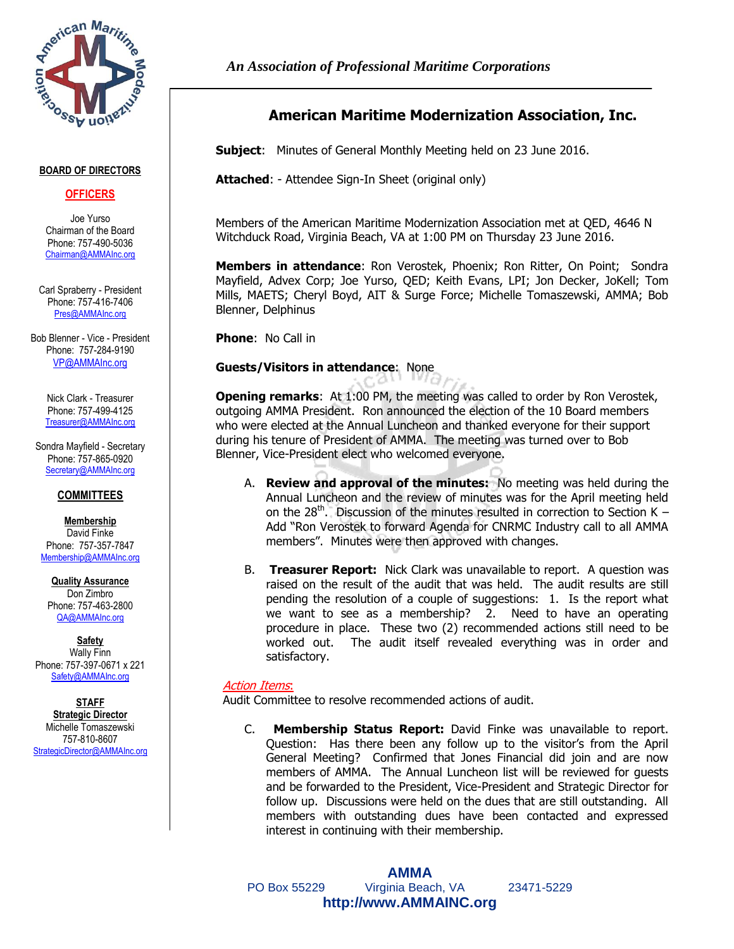

#### **BOARD OF DIRECTORS**

# **OFFICERS**

Joe Yurso Chairman of the Board Phone: 757-490-5036 [Chairman@AMMAInc.org](mailto:JYurso@QEDsysinc.com)

Carl Spraberry - President Phone: 757-416-7406 [Pres@AMMAInc.org](mailto:Pres@AMMAInc.org)

Bob Blenner - Vice - President Phone: 757-284-9190 [VP@AMMAInc.org](mailto:VP@AMMAInc.org)

> Nick Clark - Treasurer Phone: 757-499-4125 [Treasurer@AMMAInc.org](mailto:NClark@GGSVB.com)

Sondra Mayfield - Secretary Phone: 757-865-0920 [Secretary@AMMAInc.org](mailto:SMayfield@Advex.net)

# **COMMITTEES**

**Membership** David Finke Phone: 757-357-7847 [Membership@AMMAInc.org](mailto:Eaglecrest2012@gmail.com)

**Quality Assurance** Don Zimbro Phone: 757-463-2800 [QA@AMMAInc.org](mailto:Don.Zimbro@VT-Group.com)

**Safety** Wally Finn Phone: 757-397-0671 x 221 Safety@AMMAInc.org

**STAFF Strategic Director** Michelle Tomaszewski 757-810-8607 [StrategicDirector@AMMAInc.org](mailto:StrategicDirector@AMMAInc.org)

# **American Maritime Modernization Association, Inc.**

**Subject**: Minutes of General Monthly Meeting held on 23 June 2016.

**Attached**: - Attendee Sign-In Sheet (original only)

Members of the American Maritime Modernization Association met at QED, 4646 N Witchduck Road, Virginia Beach, VA at 1:00 PM on Thursday 23 June 2016.

**Members in attendance**: Ron Verostek, Phoenix; Ron Ritter, On Point; Sondra Mayfield, Advex Corp; Joe Yurso, QED; Keith Evans, LPI; Jon Decker, JoKell; Tom Mills, MAETS; Cheryl Boyd, AIT & Surge Force; Michelle Tomaszewski, AMMA; Bob Blenner, Delphinus

**Phone**: No Call in

# **Guests/Visitors in attendance**: None

**Opening remarks**:At 1:00 PM, the meeting was called to order by Ron Verostek, outgoing AMMA President. Ron announced the election of the 10 Board members who were elected at the Annual Luncheon and thanked everyone for their support during his tenure of President of AMMA. The meeting was turned over to Bob Blenner, Vice-President elect who welcomed everyone.

- A. **Review and approval of the minutes:** No meeting was held during the Annual Luncheon and the review of minutes was for the April meeting held on the  $28<sup>th</sup>$ . Discussion of the minutes resulted in correction to Section K – Add "Ron Verostek to forward Agenda for CNRMC Industry call to all AMMA members". Minutes were then approved with changes.
- B. **Treasurer Report:** Nick Clark was unavailable to report. A question was raised on the result of the audit that was held. The audit results are still pending the resolution of a couple of suggestions: 1. Is the report what we want to see as a membership? 2. Need to have an operating procedure in place. These two (2) recommended actions still need to be worked out. The audit itself revealed everything was in order and satisfactory.

# Action Items:

Audit Committee to resolve recommended actions of audit.

C. **Membership Status Report:** David Finke was unavailable to report. Question: Has there been any follow up to the visitor's from the April General Meeting? Confirmed that Jones Financial did join and are now members of AMMA. The Annual Luncheon list will be reviewed for guests and be forwarded to the President, Vice-President and Strategic Director for follow up. Discussions were held on the dues that are still outstanding. All members with outstanding dues have been contacted and expressed interest in continuing with their membership.

**AMMA** PO Box 55229 Virginia Beach, VA 23471-5229 **http://www.AMMAINC.org**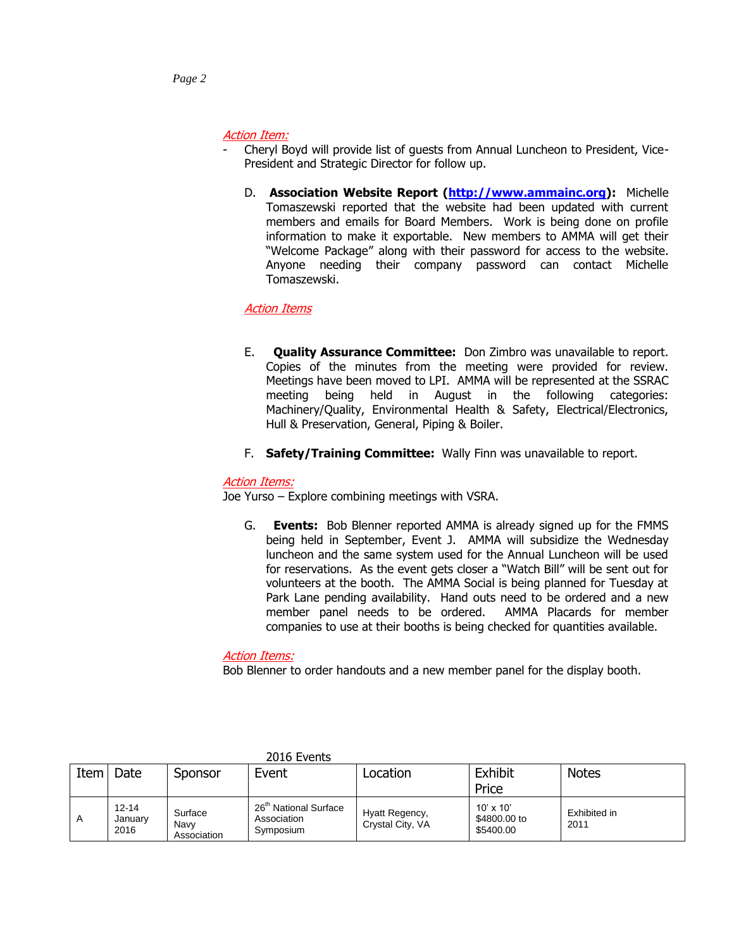# Action Item:

- Cheryl Boyd will provide list of guests from Annual Luncheon to President, Vice-President and Strategic Director for follow up.
	- D. **Association Website Report [\(http://www.ammainc.org\)](http://www.ammainc.org/):** Michelle Tomaszewski reported that the website had been updated with current members and emails for Board Members. Work is being done on profile information to make it exportable. New members to AMMA will get their "Welcome Package" along with their password for access to the website. Anyone needing their company password can contact Michelle Tomaszewski.

# Action Items

- E. **Quality Assurance Committee:** Don Zimbro was unavailable to report. Copies of the minutes from the meeting were provided for review. Meetings have been moved to LPI. AMMA will be represented at the SSRAC meeting being held in August in the following categories: Machinery/Quality, Environmental Health & Safety, Electrical/Electronics, Hull & Preservation, General, Piping & Boiler.
- F. **Safety/Training Committee:** Wally Finn was unavailable to report.

# Action Items:

Joe Yurso – Explore combining meetings with VSRA.

G. **Events:** Bob Blenner reported AMMA is already signed up for the FMMS being held in September, Event J. AMMA will subsidize the Wednesday luncheon and the same system used for the Annual Luncheon will be used for reservations. As the event gets closer a "Watch Bill" will be sent out for volunteers at the booth. The AMMA Social is being planned for Tuesday at Park Lane pending availability. Hand outs need to be ordered and a new member panel needs to be ordered. AMMA Placards for member companies to use at their booths is being checked for quantities available.

# Action Items:

Bob Blenner to order handouts and a new member panel for the display booth.

| Item | Date                         | Sponsor                        | Event                                                         | Location                           | Exhibit<br>Price                              | <b>Notes</b>         |
|------|------------------------------|--------------------------------|---------------------------------------------------------------|------------------------------------|-----------------------------------------------|----------------------|
|      | $12 - 14$<br>January<br>2016 | Surface<br>Navv<br>Association | 26 <sup>th</sup> National Surface<br>Association<br>Symposium | Hyatt Regency,<br>Crystal City, VA | $10' \times 10'$<br>\$4800,00 to<br>\$5400.00 | Exhibited in<br>2011 |

#### 2016 Events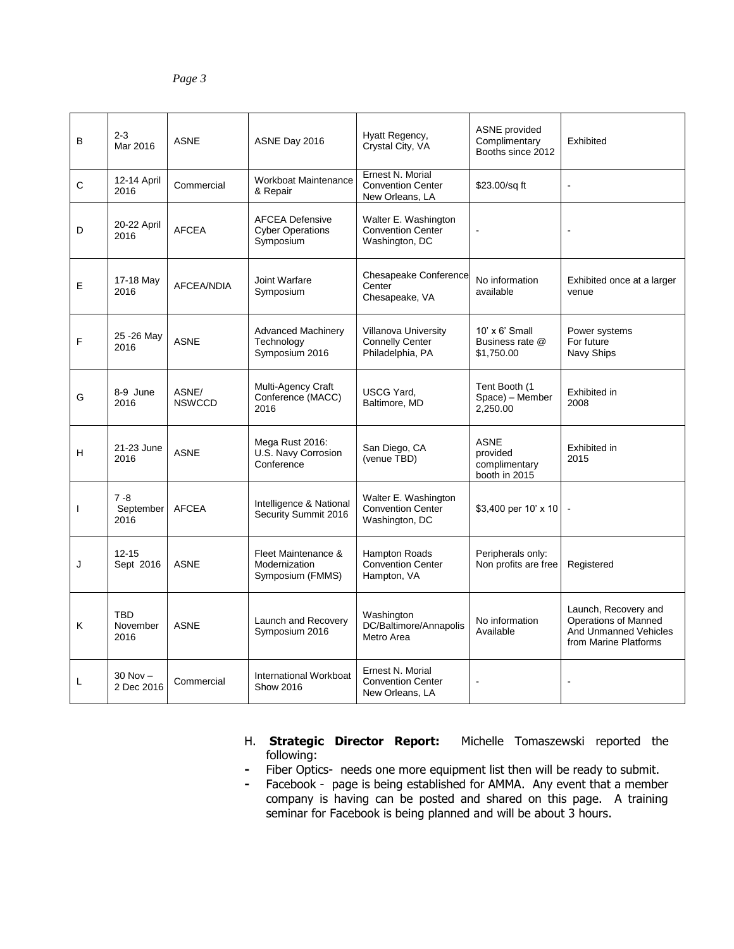| B            | $2 - 3$<br>Mar 2016            | <b>ASNE</b>            | ASNE Day 2016                                                  | Hyatt Regency,<br>Crystal City, VA                                        | <b>ASNE</b> provided<br>Complimentary<br>Booths since 2012 | Exhibited                                                                                      |
|--------------|--------------------------------|------------------------|----------------------------------------------------------------|---------------------------------------------------------------------------|------------------------------------------------------------|------------------------------------------------------------------------------------------------|
| C            | 12-14 April<br>2016            | Commercial             | <b>Workboat Maintenance</b><br>& Repair                        | Ernest N. Morial<br><b>Convention Center</b><br>New Orleans, LA           | \$23.00/sq ft                                              | $\blacksquare$                                                                                 |
| D            | 20-22 April<br>2016            | <b>AFCEA</b>           | <b>AFCEA Defensive</b><br><b>Cyber Operations</b><br>Symposium | Walter E. Washington<br><b>Convention Center</b><br>Washington, DC        |                                                            |                                                                                                |
| E            | 17-18 May<br>2016              | AFCEA/NDIA             | Joint Warfare<br>Symposium                                     | Chesapeake Conference<br>Center<br>Chesapeake, VA                         | No information<br>available                                | Exhibited once at a larger<br>venue                                                            |
| F            | 25 - 26 May<br>2016            | <b>ASNE</b>            | <b>Advanced Machinery</b><br>Technology<br>Symposium 2016      | <b>Villanova University</b><br><b>Connelly Center</b><br>Philadelphia, PA | $10' \times 6'$ Small<br>Business rate @<br>\$1,750.00     | Power systems<br>For future<br>Navy Ships                                                      |
| G            | 8-9 June<br>2016               | ASNE/<br><b>NSWCCD</b> | Multi-Agency Craft<br>Conference (MACC)<br>2016                | <b>USCG Yard.</b><br>Baltimore, MD                                        | Tent Booth (1<br>Space) - Member<br>2,250.00               | Exhibited in<br>2008                                                                           |
| H            | 21-23 June<br>2016             | <b>ASNE</b>            | Mega Rust 2016:<br>U.S. Navy Corrosion<br>Conference           | San Diego, CA<br>(venue TBD)                                              | <b>ASNE</b><br>provided<br>complimentary<br>booth in 2015  | Exhibited in<br>2015                                                                           |
| $\mathbf{I}$ | $7 - 8$<br>September<br>2016   | <b>AFCEA</b>           | Intelligence & National<br>Security Summit 2016                | Walter E. Washington<br><b>Convention Center</b><br>Washington, DC        | \$3,400 per 10' x 10                                       |                                                                                                |
| J            | $12 - 15$<br>Sept 2016         | <b>ASNE</b>            | Fleet Maintenance &<br>Modernization<br>Symposium (FMMS)       | Hampton Roads<br><b>Convention Center</b><br>Hampton, VA                  | Peripherals only:<br>Non profits are free                  | Registered                                                                                     |
| Κ            | <b>TBD</b><br>November<br>2016 | <b>ASNE</b>            | Launch and Recovery<br>Symposium 2016                          | Washington<br>DC/Baltimore/Annapolis<br>Metro Area                        | No information<br>Available                                | Launch, Recovery and<br>Operations of Manned<br>And Unmanned Vehicles<br>from Marine Platforms |
| L            | $30$ Nov $-$<br>2 Dec 2016     | Commercial             | International Workboat<br><b>Show 2016</b>                     | Ernest N. Morial<br><b>Convention Center</b><br>New Orleans, LA           |                                                            |                                                                                                |

- H. **Strategic Director Report:** Michelle Tomaszewski reported the following:
- **-** Fiber Optics- needs one more equipment list then will be ready to submit.
- **-** Facebook page is being established for AMMA. Any event that a member company is having can be posted and shared on this page. A training seminar for Facebook is being planned and will be about 3 hours.